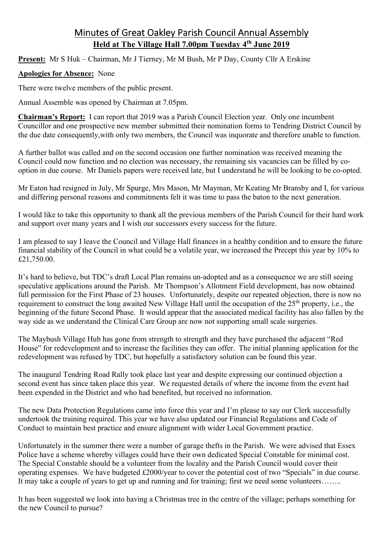## Minutes of Great Oakley Parish Council Annual Assembly **Held at The Village Hall 7.00pm Tuesday 4th June 2019**

**Present:** Mr S Huk – Chairman, Mr J Tierney, Mr M Bush, Mr P Day, County Cllr A Erskine

## **Apologies for Absence:** None

There were twelve members of the public present.

Annual Assemble was opened by Chairman at 7.05pm.

**Chairman's Report:** I can report that 2019 was a Parish Council Election year. Only one incumbent Councillor and one prospective new member submitted their nomination forms to Tendring District Council by the due date consequently,with only two members, the Council was inquorate and therefore unable to function.

A further ballot was called and on the second occasion one further nomination was received meaning the Council could now function and no election was necessary, the remaining six vacancies can be filled by cooption in due course. Mr Daniels papers were received late, but I understand he will be looking to be co-opted.

Mr Eaton had resigned in July, Mr Spurge, Mrs Mason, Mr Mayman, Mr Keating Mr Bransby and I, for various and differing personal reasons and commitments felt it was time to pass the baton to the next generation.

I would like to take this opportunity to thank all the previous members of the Parish Council for their hard work and support over many years and I wish our successors every success for the future.

I am pleased to say I leave the Council and Village Hall finances in a healthy condition and to ensure the future financial stability of the Council in what could be a volatile year, we increased the Precept this year by 10% to £21,750.00.

It's hard to believe, but TDC's draft Local Plan remains un-adopted and as a consequence we are still seeing speculative applications around the Parish. Mr Thompson's Allotment Field development, has now obtained full permission for the First Phase of 23 houses. Unfortunately, despite our repeated objection, there is now no requirement to construct the long awaited New Village Hall until the occupation of the 25<sup>th</sup> property, i.e., the beginning of the future Second Phase. It would appear that the associated medical facility has also fallen by the way side as we understand the Clinical Care Group are now not supporting small scale surgeries.

The Maybush Village Hub has gone from strength to strength and they have purchased the adjacent "Red House" for redevelopment and to increase the facilities they can offer. The initial planning application for the redevelopment was refused by TDC, but hopefully a satisfactory solution can be found this year.

The inaugural Tendring Road Rally took place last year and despite expressing our continued objection a second event has since taken place this year. We requested details of where the income from the event had been expended in the District and who had benefited, but received no information.

The new Data Protection Regulations came into force this year and I'm please to say our Clerk successfully undertook the training required. This year we have also updated our Financial Regulations and Code of Conduct to maintain best practice and ensure alignment with wider Local Government practice.

Unfortunately in the summer there were a number of garage thefts in the Parish. We were advised that Essex Police have a scheme whereby villages could have their own dedicated Special Constable for minimal cost. The Special Constable should be a volunteer from the locality and the Parish Council would cover their operating expenses. We have budgeted £2000/year to cover the potential cost of two "Specials" in due course. It may take a couple of years to get up and running and for training; first we need some volunteers……..

It has been suggested we look into having a Christmas tree in the centre of the village; perhaps something for the new Council to pursue?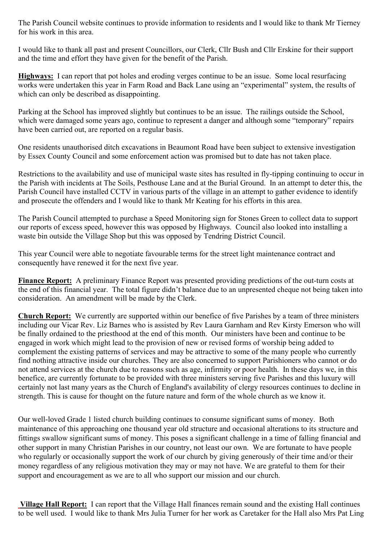The Parish Council website continues to provide information to residents and I would like to thank Mr Tierney for his work in this area.

I would like to thank all past and present Councillors, our Clerk, Cllr Bush and Cllr Erskine for their support and the time and effort they have given for the benefit of the Parish.

**Highways:** I can report that pot holes and eroding verges continue to be an issue. Some local resurfacing works were undertaken this year in Farm Road and Back Lane using an "experimental" system, the results of which can only be described as disappointing.

Parking at the School has improved slightly but continues to be an issue. The railings outside the School, which were damaged some years ago, continue to represent a danger and although some "temporary" repairs have been carried out, are reported on a regular basis.

One residents unauthorised ditch excavations in Beaumont Road have been subject to extensive investigation by Essex County Council and some enforcement action was promised but to date has not taken place.

Restrictions to the availability and use of municipal waste sites has resulted in fly-tipping continuing to occur in the Parish with incidents at The Soils, Pesthouse Lane and at the Burial Ground. In an attempt to deter this, the Parish Council have installed CCTV in various parts of the village in an attempt to gather evidence to identify and prosecute the offenders and I would like to thank Mr Keating for his efforts in this area.

The Parish Council attempted to purchase a Speed Monitoring sign for Stones Green to collect data to support our reports of excess speed, however this was opposed by Highways. Council also looked into installing a waste bin outside the Village Shop but this was opposed by Tendring District Council.

This year Council were able to negotiate favourable terms for the street light maintenance contract and consequently have renewed it for the next five year.

**Finance Report:** A preliminary Finance Report was presented providing predictions of the out-turn costs at the end of this financial year. The total figure didn't balance due to an unpresented cheque not being taken into consideration. An amendment will be made by the Clerk.

**Church Report:** We currently are supported within our benefice of five Parishes by a team of three ministers including our Vicar Rev. Liz Barnes who is assisted by Rev Laura Garnham and Rev Kirsty Emerson who will be finally ordained to the priesthood at the end of this month. Our ministers have been and continue to be engaged in work which might lead to the provision of new or revised forms of worship being added to complement the existing patterns of services and may be attractive to some of the many people who currently find nothing attractive inside our churches. They are also concerned to support Parishioners who cannot or do not attend services at the church due to reasons such as age, infirmity or poor health. In these days we, in this benefice, are currently fortunate to be provided with three ministers serving five Parishes and this luxury will certainly not last many years as the Church of England's availability of clergy resources continues to decline in strength. This is cause for thought on the future nature and form of the whole church as we know it.

Our well-loved Grade 1 listed church building continues to consume significant sums of money. Both maintenance of this approaching one thousand year old structure and occasional alterations to its structure and fittings swallow significant sums of money. This poses a significant challenge in a time of falling financial and other support in many Christian Parishes in our country, not least our own. We are fortunate to have people who regularly or occasionally support the work of our church by giving generously of their time and/or their money regardless of any religious motivation they may or may not have. We are grateful to them for their support and encouragement as we are to all who support our mission and our church.

**Village Hall Report:** I can report that the Village Hall finances remain sound and the existing Hall continues to be well used. I would like to thank Mrs Julia Turner for her work as Caretaker for the Hall also Mrs Pat Ling